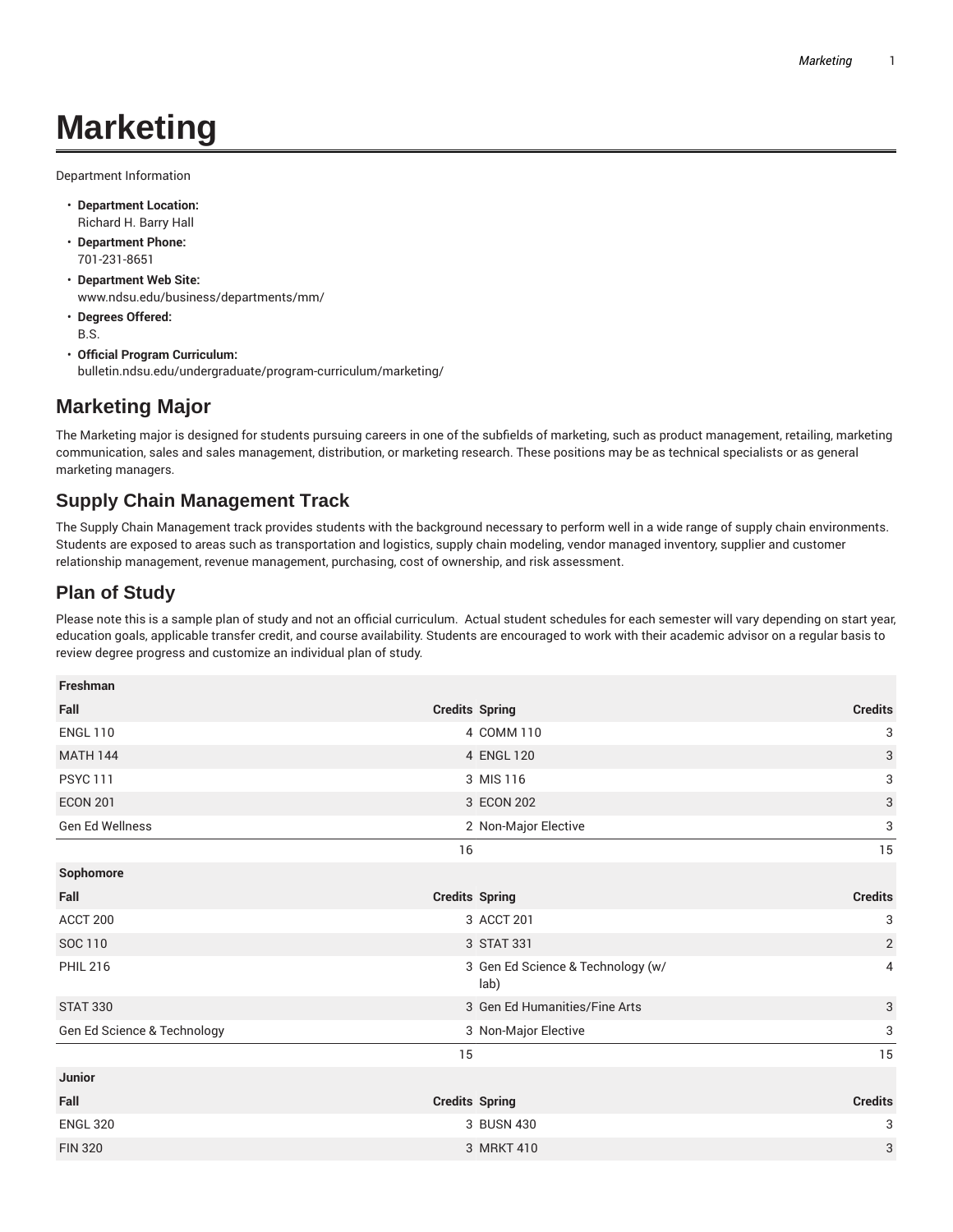# **Marketing**

Department Information

- **Department Location:** Richard H. Barry Hall
- **Department Phone:** 701-231-8651
- **Department Web Site:** www.ndsu.edu/business/departments/mm/
- **Degrees Offered:** B.S.
- **Official Program Curriculum:** bulletin.ndsu.edu/undergraduate/program-curriculum/marketing/

## **Marketing Major**

The Marketing major is designed for students pursuing careers in one of the subfields of marketing, such as product management, retailing, marketing communication, sales and sales management, distribution, or marketing research. These positions may be as technical specialists or as general marketing managers.

# **Supply Chain Management Track**

The Supply Chain Management track provides students with the background necessary to perform well in a wide range of supply chain environments. Students are exposed to areas such as transportation and logistics, supply chain modeling, vendor managed inventory, supplier and customer relationship management, revenue management, purchasing, cost of ownership, and risk assessment.

## **Plan of Study**

Please note this is a sample plan of study and not an official curriculum. Actual student schedules for each semester will vary depending on start year, education goals, applicable transfer credit, and course availability. Students are encouraged to work with their academic advisor on a regular basis to review degree progress and customize an individual plan of study.

| Freshman                    |                                           |                |
|-----------------------------|-------------------------------------------|----------------|
| Fall                        | <b>Credits Spring</b>                     | <b>Credits</b> |
| <b>ENGL 110</b>             | 4 COMM 110                                | 3              |
| <b>MATH 144</b>             | 4 ENGL 120                                | $\sqrt{3}$     |
| <b>PSYC 111</b>             | 3 MIS 116                                 | 3              |
| <b>ECON 201</b>             | 3 ECON 202                                | 3              |
| Gen Ed Wellness             | 2 Non-Major Elective                      | 3              |
|                             | 16                                        | 15             |
| Sophomore                   |                                           |                |
| Fall                        | <b>Credits Spring</b>                     | <b>Credits</b> |
| ACCT <sub>200</sub>         | 3 ACCT 201                                | 3              |
| SOC 110                     | 3 STAT 331                                | $\sqrt{2}$     |
| <b>PHIL 216</b>             | 3 Gen Ed Science & Technology (w/<br>lab) | 4              |
| <b>STAT 330</b>             | 3 Gen Ed Humanities/Fine Arts             | 3              |
| Gen Ed Science & Technology | 3 Non-Major Elective                      | 3              |
|                             | 15                                        | 15             |
| Junior                      |                                           |                |
| Fall                        | <b>Credits Spring</b>                     | <b>Credits</b> |
| <b>ENGL 320</b>             | 3 BUSN 430                                | 3              |
| <b>FIN 320</b>              | 3 MRKT 410                                | 3              |